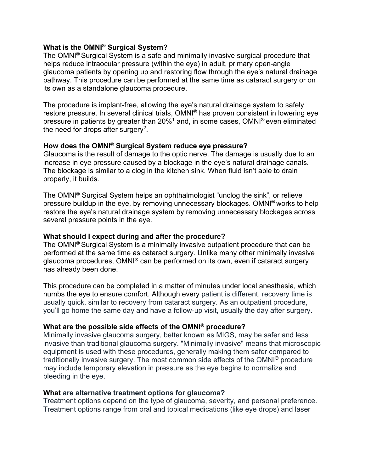## **What is the OMNI® Surgical System?**

The OMNI**®** Surgical System is a safe and minimally invasive surgical procedure that helps reduce intraocular pressure (within the eye) in adult, primary open-angle glaucoma patients by opening up and restoring flow through the eye's natural drainage pathway. This procedure can be performed at the same time as cataract surgery or on its own as a standalone glaucoma procedure.

The procedure is implant-free, allowing the eye's natural drainage system to safely restore pressure. In several clinical trials, OMNI**®** has proven consistent in lowering eye pressure in patients by greater than 20%1 and, in some cases, OMNI**®** even eliminated the need for drops after surgery<sup>2</sup>.

## **How does the OMNI® Surgical System reduce eye pressure?**

Glaucoma is the result of damage to the optic nerve. The damage is usually due to an increase in eye pressure caused by a blockage in the eye's natural drainage canals. The blockage is similar to a clog in the kitchen sink. When fluid isn't able to drain properly, it builds.

The OMNI**®** Surgical System helps an ophthalmologist "unclog the sink", or relieve pressure buildup in the eye, by removing unnecessary blockages. OMNI**®** works to help restore the eye's natural drainage system by removing unnecessary blockages across several pressure points in the eye.

### **What should I expect during and after the procedure?**

The OMNI**®** Surgical System is a minimally invasive outpatient procedure that can be performed at the same time as cataract surgery. Unlike many other minimally invasive glaucoma procedures, OMNI**®** can be performed on its own, even if cataract surgery has already been done.

This procedure can be completed in a matter of minutes under local anesthesia, which numbs the eye to ensure comfort. Although every patient is different, recovery time is usually quick, similar to recovery from cataract surgery. As an outpatient procedure, you'll go home the same day and have a follow-up visit, usually the day after surgery.

# **What are the possible side effects of the OMNI® procedure?**

Minimally invasive glaucoma surgery, better known as MIGS, may be safer and less invasive than traditional glaucoma surgery. "Minimally invasive" means that microscopic equipment is used with these procedures, generally making them safer compared to traditionally invasive surgery. The most common side effects of the OMNI**®** procedure may include temporary elevation in pressure as the eye begins to normalize and bleeding in the eye.

#### **What are alternative treatment options for glaucoma?**

Treatment options depend on the type of glaucoma, severity, and personal preference. Treatment options range from oral and topical medications (like eye drops) and laser